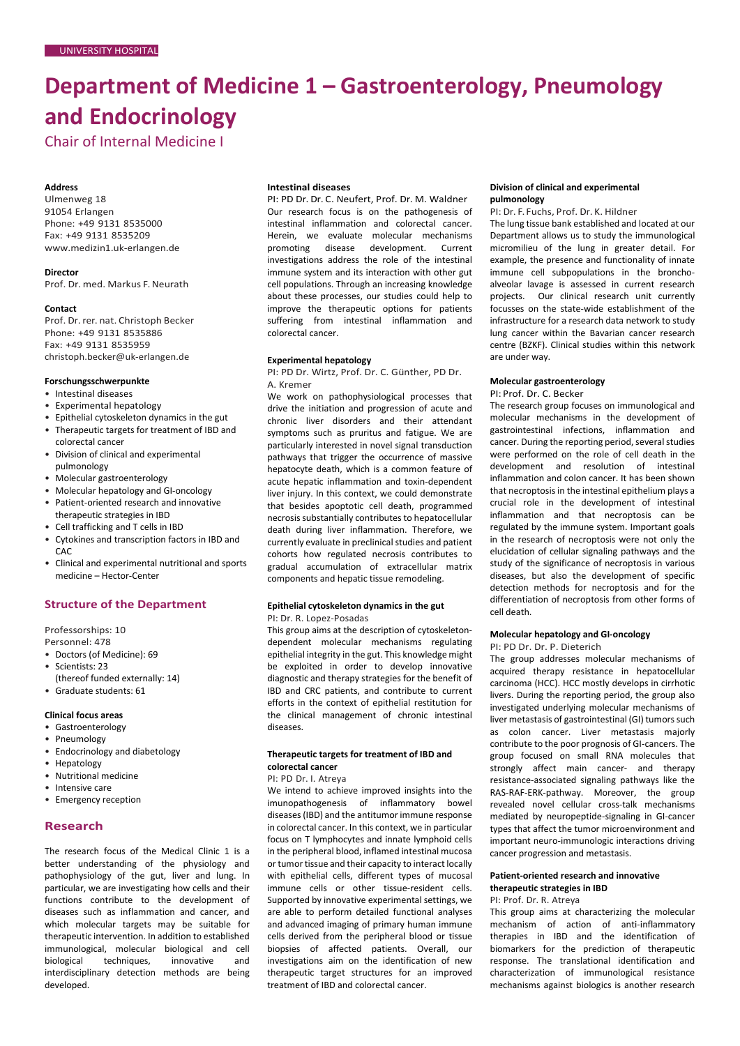# **Department of Medicine 1 – Gastroenterology, Pneumology and Endocrinology**

Chair of Internal Medicine I

#### **Address**

Ulmenweg 18 91054 Erlangen Phone: +49 9131 8535000 Fax: +49 9131 8535209 [www.medizin1.uk-erlangen.de](http://www.medizin1.uk-erlangen.de/)

**Director** Prof. Dr. med. Markus F.Neurath

#### **Contact**

Prof. Dr. rer. nat. Christoph Becker Phone: +49 9131 8535886 Fax: +49 9131 8535959 [christoph.becker@uk-erlangen.de](mailto:christoph.becker@uk-erlangen.de)

#### **Forschungsschwerpunkte**

- Intestinal diseases
- Experimental hepatology
- Epithelial cytoskeleton dynamics in the gut • Therapeutic targets for treatment of IBD and
- colorectal cancer • Division of clinical and experimental
- pulmonology
- Molecular gastroenterology
- Molecular hepatology and GI-oncology
- Patient-oriented research and innovative therapeutic strategies in IBD
- Cell trafficking and T cells in IBD
- Cytokines and transcription factors in IBD and CAC
- Clinical and experimental nutritional and sports medicine – Hector-Center

## **Structure of the Department**

Professorships: 10 Personnel: 478

- Doctors (of Medicine): 69
- Scientists: 23
- (thereof funded externally: 14)
- Graduate students: 61

# **Clinical focus areas**

- Gastroenterology
- Pneumology
- Endocrinology and diabetology
- Hepatology
- Nutritional medicine
- Intensive care
- Emergency reception

## **Research**

The research focus of the Medical Clinic 1 is a better understanding of the physiology and pathophysiology of the gut, liver and lung. In particular, we are investigating how cells and their functions contribute to the development of diseases such as inflammation and cancer, and which molecular targets may be suitable for therapeutic intervention. In addition to established immunological, molecular biological and cell biological techniques, innovative and interdisciplinary detection methods are being developed.

#### **Intestinal diseases**

PI: PD Dr. Dr. C. Neufert, Prof. Dr. M. Waldner Our research focus is on the pathogenesis of intestinal inflammation and colorectal cancer. Herein, we evaluate molecular mechanisms promoting disease development. Current investigations address the role of the intestinal immune system and its interaction with other gut cell populations. Through an increasing knowledge about these processes, our studies could help to improve the therapeutic options for patients suffering from intestinal inflammation and colorectal cancer.

## **Experimental hepatology**

PI: PD Dr. Wirtz, Prof. Dr. C. Günther, PD Dr. A. Kremer

We work on pathophysiological processes that drive the initiation and progression of acute and chronic liver disorders and their attendant symptoms such as pruritus and fatigue. We are particularly interested in novel signal transduction pathways that trigger the occurrence of massive hepatocyte death, which is a common feature of acute hepatic inflammation and toxin-dependent liver injury. In this context, we could demonstrate that besides apoptotic cell death, programmed necrosis substantially contributes to hepatocellular death during liver inflammation. Therefore, we currently evaluate in preclinical studies and patient cohorts how regulated necrosis contributes to gradual accumulation of extracellular matrix components and hepatic tissue remodeling.

## **Epithelial cytoskeleton dynamics in the gut**

PI: Dr. R. Lopez-Posadas

This group aims at the description of cytoskeletondependent molecular mechanisms regulating epithelial integrity in the gut. This knowledge might be exploited in order to develop innovative diagnostic and therapy strategies for the benefit of IBD and CRC patients, and contribute to current efforts in the context of epithelial restitution for the clinical management of chronic intestinal diseases.

## **Therapeutic targets for treatment of IBD and colorectal cancer**

PI: PD Dr. I. Atreya

We intend to achieve improved insights into the imunopathogenesis of inflammatory bowel diseases (IBD) and the antitumor immune response in colorectal cancer. In this context, we in particular focus on T lymphocytes and innate lymphoid cells in the peripheral blood, inflamed intestinal mucosa or tumor tissue and their capacity to interact locally with epithelial cells, different types of mucosal immune cells or other tissue-resident cells. Supported by innovative experimental settings, we are able to perform detailed functional analyses and advanced imaging of primary human immune cells derived from the peripheral blood or tissue biopsies of affected patients. Overall, our investigations aim on the identification of new therapeutic target structures for an improved treatment of IBD and colorectal cancer.

#### **Division of clinical and experimental pulmonology**

PI: Dr. F. Fuchs, Prof. Dr. K. Hildner

The lung tissue bank established and located at our Department allows us to study the immunological micromilieu of the lung in greater detail. For example, the presence and functionality of innate immune cell subpopulations in the bronchoalveolar lavage is assessed in current research projects. Our clinical research unit currently focusses on the state-wide establishment of the infrastructure for a research data network to study lung cancer within the Bavarian cancer research centre (BZKF). Clinical studies within this network are under way.

#### **Molecular gastroenterology**

PI: Prof. Dr. C. Becker

The research group focuses on immunological and molecular mechanisms in the development of gastrointestinal infections, inflammation and cancer. During the reporting period, several studies were performed on the role of cell death in the development and resolution of intestinal inflammation and colon cancer. It has been shown that necroptosis in the intestinal epithelium plays a crucial role in the development of intestinal inflammation and that necroptosis can be regulated by the immune system. Important goals in the research of necroptosis were not only the elucidation of cellular signaling pathways and the study of the significance of necroptosis in various diseases, but also the development of specific detection methods for necroptosis and for the differentiation of necroptosis from other forms of cell death.

## **Molecular hepatology and GI-oncology**

PI: PD Dr. Dr. P. Dieterich

The group addresses molecular mechanisms of acquired therapy resistance in hepatocellular carcinoma (HCC). HCC mostly develops in cirrhotic livers. During the reporting period, the group also investigated underlying molecular mechanisms of liver metastasis of gastrointestinal (GI) tumors such as colon cancer. Liver metastasis majorly contribute to the poor prognosis of GI-cancers. The group focused on small RNA molecules that strongly affect main cancer- and therapy resistance-associated signaling pathways like the RAS-RAF-ERK-pathway. Moreover, the group revealed novel cellular cross-talk mechanisms mediated by neuropeptide-signaling in GI-cancer types that affect the tumor microenvironment and important neuro-immunologic interactions driving cancer progression and metastasis.

## **Patient-oriented research and innovative therapeutic strategies in IBD**

PI: Prof. Dr. R. Atreya

This group aims at characterizing the molecular mechanism of action of anti-inflammatory therapies in IBD and the identification of biomarkers for the prediction of therapeutic response. The translational identification and characterization of immunological resistance mechanisms against biologics is another research